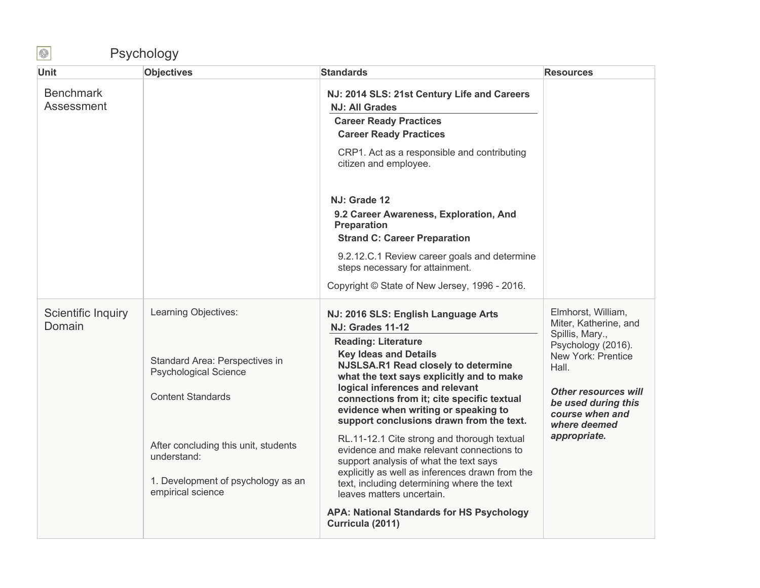## Psychology

| <b>Unit</b>                    | <b>Objectives</b>                                                                                                                                                                                                                    | <b>Standards</b>                                                                                                                                                                                                                                                                                                                                                                                                                                                                                                                                                                                                                                                                                                                  | <b>Resources</b>                                                                                                                                                                                                             |
|--------------------------------|--------------------------------------------------------------------------------------------------------------------------------------------------------------------------------------------------------------------------------------|-----------------------------------------------------------------------------------------------------------------------------------------------------------------------------------------------------------------------------------------------------------------------------------------------------------------------------------------------------------------------------------------------------------------------------------------------------------------------------------------------------------------------------------------------------------------------------------------------------------------------------------------------------------------------------------------------------------------------------------|------------------------------------------------------------------------------------------------------------------------------------------------------------------------------------------------------------------------------|
| <b>Benchmark</b><br>Assessment |                                                                                                                                                                                                                                      | NJ: 2014 SLS: 21st Century Life and Careers<br><b>NJ: All Grades</b><br><b>Career Ready Practices</b><br><b>Career Ready Practices</b>                                                                                                                                                                                                                                                                                                                                                                                                                                                                                                                                                                                            |                                                                                                                                                                                                                              |
|                                |                                                                                                                                                                                                                                      | CRP1. Act as a responsible and contributing<br>citizen and employee.                                                                                                                                                                                                                                                                                                                                                                                                                                                                                                                                                                                                                                                              |                                                                                                                                                                                                                              |
|                                |                                                                                                                                                                                                                                      | NJ: Grade 12<br>9.2 Career Awareness, Exploration, And<br><b>Preparation</b><br><b>Strand C: Career Preparation</b><br>9.2.12.C.1 Review career goals and determine<br>steps necessary for attainment.<br>Copyright © State of New Jersey, 1996 - 2016.                                                                                                                                                                                                                                                                                                                                                                                                                                                                           |                                                                                                                                                                                                                              |
| Scientific Inquiry<br>Domain   | Learning Objectives:<br>Standard Area: Perspectives in<br><b>Psychological Science</b><br><b>Content Standards</b><br>After concluding this unit, students<br>understand:<br>1. Development of psychology as an<br>empirical science | NJ: 2016 SLS: English Language Arts<br><b>NJ: Grades 11-12</b><br><b>Reading: Literature</b><br><b>Key Ideas and Details</b><br>NJSLSA.R1 Read closely to determine<br>what the text says explicitly and to make<br>logical inferences and relevant<br>connections from it; cite specific textual<br>evidence when writing or speaking to<br>support conclusions drawn from the text.<br>RL.11-12.1 Cite strong and thorough textual<br>evidence and make relevant connections to<br>support analysis of what the text says<br>explicitly as well as inferences drawn from the<br>text, including determining where the text<br>leaves matters uncertain.<br><b>APA: National Standards for HS Psychology</b><br>Curricula (2011) | Elmhorst, William,<br>Miter, Katherine, and<br>Spillis, Mary.,<br>Psychology (2016).<br>New York: Prentice<br>Hall.<br><b>Other resources will</b><br>be used during this<br>course when and<br>where deemed<br>appropriate. |

 $\bigcirc$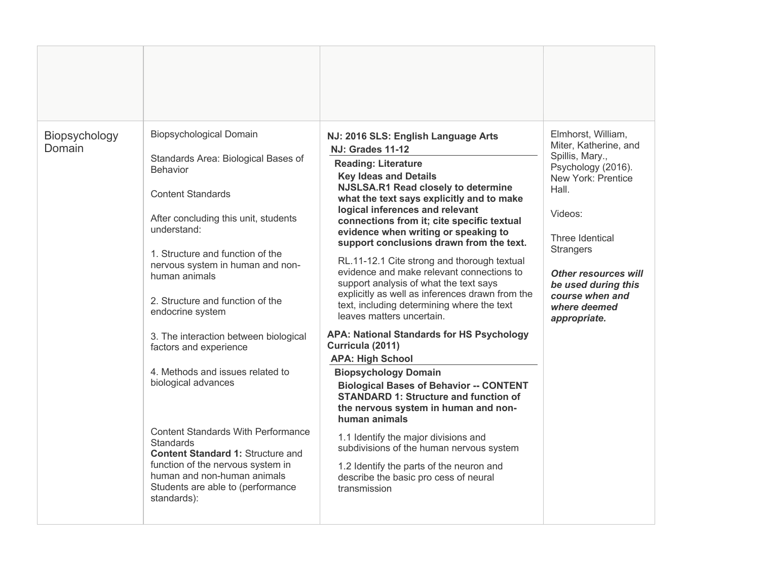| Biopsychology<br>Domain | Biopsychological Domain<br>Standards Area: Biological Bases of<br><b>Behavior</b><br><b>Content Standards</b><br>After concluding this unit, students<br>understand:<br>1. Structure and function of the<br>nervous system in human and non-<br>human animals<br>2. Structure and function of the<br>endocrine system<br>3. The interaction between biological<br>factors and experience<br>4. Methods and issues related to<br>biological advances<br><b>Content Standards With Performance</b><br>Standards<br><b>Content Standard 1: Structure and</b><br>function of the nervous system in<br>human and non-human animals<br>Students are able to (performance<br>standards): | NJ: 2016 SLS: English Language Arts<br><b>NJ: Grades 11-12</b><br><b>Reading: Literature</b><br><b>Key Ideas and Details</b><br>NJSLSA.R1 Read closely to determine<br>what the text says explicitly and to make<br>logical inferences and relevant<br>connections from it; cite specific textual<br>evidence when writing or speaking to<br>support conclusions drawn from the text.<br>RL.11-12.1 Cite strong and thorough textual<br>evidence and make relevant connections to<br>support analysis of what the text says<br>explicitly as well as inferences drawn from the<br>text, including determining where the text<br>leaves matters uncertain.<br><b>APA: National Standards for HS Psychology</b><br>Curricula (2011)<br><b>APA: High School</b><br><b>Biopsychology Domain</b><br><b>Biological Bases of Behavior -- CONTENT</b><br><b>STANDARD 1: Structure and function of</b><br>the nervous system in human and non-<br>human animals<br>1.1 Identify the major divisions and<br>subdivisions of the human nervous system<br>1.2 Identify the parts of the neuron and<br>describe the basic pro cess of neural<br>transmission | Elmhorst, William,<br>Miter, Katherine, and<br>Spillis, Mary.,<br>Psychology (2016).<br>New York: Prentice<br>Hall.<br>Videos:<br>Three Identical<br><b>Strangers</b><br>Other resources will<br>be used during this<br>course when and<br>where deemed<br>appropriate. |
|-------------------------|-----------------------------------------------------------------------------------------------------------------------------------------------------------------------------------------------------------------------------------------------------------------------------------------------------------------------------------------------------------------------------------------------------------------------------------------------------------------------------------------------------------------------------------------------------------------------------------------------------------------------------------------------------------------------------------|-------------------------------------------------------------------------------------------------------------------------------------------------------------------------------------------------------------------------------------------------------------------------------------------------------------------------------------------------------------------------------------------------------------------------------------------------------------------------------------------------------------------------------------------------------------------------------------------------------------------------------------------------------------------------------------------------------------------------------------------------------------------------------------------------------------------------------------------------------------------------------------------------------------------------------------------------------------------------------------------------------------------------------------------------------------------------------------------------------------------------------------------------|-------------------------------------------------------------------------------------------------------------------------------------------------------------------------------------------------------------------------------------------------------------------------|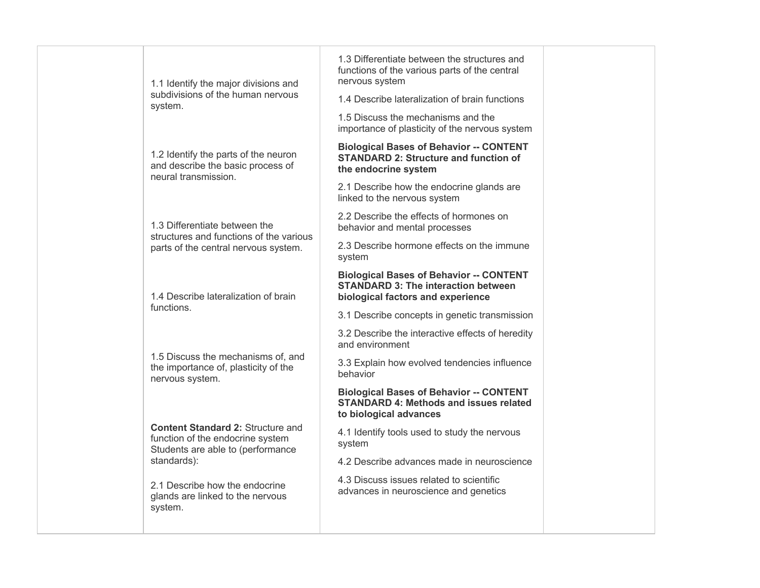| 1.3 Differentiate between the structures and<br>functions of the various parts of the central<br>nervous system<br>1.1 Identify the major divisions and<br>subdivisions of the human nervous<br>1.4 Describe lateralization of brain functions<br>system.<br>1.5 Discuss the mechanisms and the<br>importance of plasticity of the nervous system<br><b>Biological Bases of Behavior -- CONTENT</b><br>1.2 Identify the parts of the neuron<br><b>STANDARD 2: Structure and function of</b><br>and describe the basic process of<br>the endocrine system<br>neural transmission.<br>2.1 Describe how the endocrine glands are<br>linked to the nervous system<br>2.2 Describe the effects of hormones on<br>1.3 Differentiate between the<br>behavior and mental processes<br>structures and functions of the various<br>2.3 Describe hormone effects on the immune<br>parts of the central nervous system.<br>system<br><b>Biological Bases of Behavior -- CONTENT</b><br><b>STANDARD 3: The interaction between</b><br>1.4 Describe lateralization of brain<br>biological factors and experience<br>functions.<br>3.1 Describe concepts in genetic transmission<br>3.2 Describe the interactive effects of heredity<br>and environment<br>1.5 Discuss the mechanisms of, and<br>3.3 Explain how evolved tendencies influence<br>the importance of, plasticity of the<br>behavior<br>nervous system.<br><b>Biological Bases of Behavior -- CONTENT</b><br><b>STANDARD 4: Methods and issues related</b><br>to biological advances<br><b>Content Standard 2: Structure and</b> |                                  |                                              |  |
|--------------------------------------------------------------------------------------------------------------------------------------------------------------------------------------------------------------------------------------------------------------------------------------------------------------------------------------------------------------------------------------------------------------------------------------------------------------------------------------------------------------------------------------------------------------------------------------------------------------------------------------------------------------------------------------------------------------------------------------------------------------------------------------------------------------------------------------------------------------------------------------------------------------------------------------------------------------------------------------------------------------------------------------------------------------------------------------------------------------------------------------------------------------------------------------------------------------------------------------------------------------------------------------------------------------------------------------------------------------------------------------------------------------------------------------------------------------------------------------------------------------------------------------------------------------------------------|----------------------------------|----------------------------------------------|--|
|                                                                                                                                                                                                                                                                                                                                                                                                                                                                                                                                                                                                                                                                                                                                                                                                                                                                                                                                                                                                                                                                                                                                                                                                                                                                                                                                                                                                                                                                                                                                                                                |                                  |                                              |  |
|                                                                                                                                                                                                                                                                                                                                                                                                                                                                                                                                                                                                                                                                                                                                                                                                                                                                                                                                                                                                                                                                                                                                                                                                                                                                                                                                                                                                                                                                                                                                                                                |                                  |                                              |  |
|                                                                                                                                                                                                                                                                                                                                                                                                                                                                                                                                                                                                                                                                                                                                                                                                                                                                                                                                                                                                                                                                                                                                                                                                                                                                                                                                                                                                                                                                                                                                                                                |                                  |                                              |  |
|                                                                                                                                                                                                                                                                                                                                                                                                                                                                                                                                                                                                                                                                                                                                                                                                                                                                                                                                                                                                                                                                                                                                                                                                                                                                                                                                                                                                                                                                                                                                                                                |                                  |                                              |  |
|                                                                                                                                                                                                                                                                                                                                                                                                                                                                                                                                                                                                                                                                                                                                                                                                                                                                                                                                                                                                                                                                                                                                                                                                                                                                                                                                                                                                                                                                                                                                                                                |                                  |                                              |  |
|                                                                                                                                                                                                                                                                                                                                                                                                                                                                                                                                                                                                                                                                                                                                                                                                                                                                                                                                                                                                                                                                                                                                                                                                                                                                                                                                                                                                                                                                                                                                                                                |                                  |                                              |  |
|                                                                                                                                                                                                                                                                                                                                                                                                                                                                                                                                                                                                                                                                                                                                                                                                                                                                                                                                                                                                                                                                                                                                                                                                                                                                                                                                                                                                                                                                                                                                                                                |                                  |                                              |  |
|                                                                                                                                                                                                                                                                                                                                                                                                                                                                                                                                                                                                                                                                                                                                                                                                                                                                                                                                                                                                                                                                                                                                                                                                                                                                                                                                                                                                                                                                                                                                                                                |                                  |                                              |  |
|                                                                                                                                                                                                                                                                                                                                                                                                                                                                                                                                                                                                                                                                                                                                                                                                                                                                                                                                                                                                                                                                                                                                                                                                                                                                                                                                                                                                                                                                                                                                                                                |                                  |                                              |  |
|                                                                                                                                                                                                                                                                                                                                                                                                                                                                                                                                                                                                                                                                                                                                                                                                                                                                                                                                                                                                                                                                                                                                                                                                                                                                                                                                                                                                                                                                                                                                                                                |                                  |                                              |  |
|                                                                                                                                                                                                                                                                                                                                                                                                                                                                                                                                                                                                                                                                                                                                                                                                                                                                                                                                                                                                                                                                                                                                                                                                                                                                                                                                                                                                                                                                                                                                                                                |                                  |                                              |  |
|                                                                                                                                                                                                                                                                                                                                                                                                                                                                                                                                                                                                                                                                                                                                                                                                                                                                                                                                                                                                                                                                                                                                                                                                                                                                                                                                                                                                                                                                                                                                                                                |                                  |                                              |  |
| system<br>Students are able to (performance                                                                                                                                                                                                                                                                                                                                                                                                                                                                                                                                                                                                                                                                                                                                                                                                                                                                                                                                                                                                                                                                                                                                                                                                                                                                                                                                                                                                                                                                                                                                    | function of the endocrine system | 4.1 Identify tools used to study the nervous |  |
| standards):<br>4.2 Describe advances made in neuroscience                                                                                                                                                                                                                                                                                                                                                                                                                                                                                                                                                                                                                                                                                                                                                                                                                                                                                                                                                                                                                                                                                                                                                                                                                                                                                                                                                                                                                                                                                                                      |                                  |                                              |  |
| 4.3 Discuss issues related to scientific<br>2.1 Describe how the endocrine<br>advances in neuroscience and genetics<br>glands are linked to the nervous<br>system.                                                                                                                                                                                                                                                                                                                                                                                                                                                                                                                                                                                                                                                                                                                                                                                                                                                                                                                                                                                                                                                                                                                                                                                                                                                                                                                                                                                                             |                                  |                                              |  |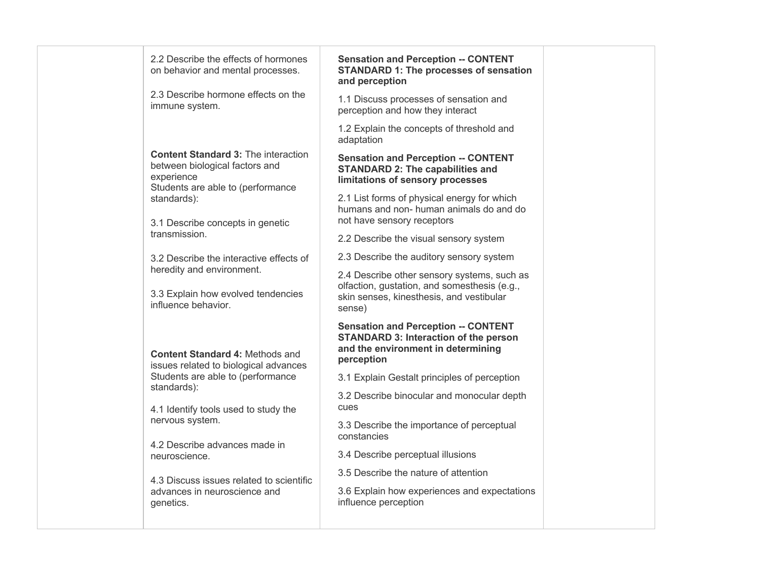| 2.2 Describe the effects of hormones<br>on behavior and mental processes.                                                       | <b>Sensation and Perception -- CONTENT</b><br><b>STANDARD 1: The processes of sensation</b><br>and perception                                     |  |
|---------------------------------------------------------------------------------------------------------------------------------|---------------------------------------------------------------------------------------------------------------------------------------------------|--|
| 2.3 Describe hormone effects on the<br>immune system.                                                                           | 1.1 Discuss processes of sensation and<br>perception and how they interact                                                                        |  |
|                                                                                                                                 | 1.2 Explain the concepts of threshold and<br>adaptation                                                                                           |  |
| <b>Content Standard 3: The interaction</b><br>between biological factors and<br>experience<br>Students are able to (performance | <b>Sensation and Perception -- CONTENT</b><br><b>STANDARD 2: The capabilities and</b><br>limitations of sensory processes                         |  |
| standards):<br>3.1 Describe concepts in genetic                                                                                 | 2.1 List forms of physical energy for which<br>humans and non- human animals do and do<br>not have sensory receptors                              |  |
| transmission.                                                                                                                   | 2.2 Describe the visual sensory system                                                                                                            |  |
| 3.2 Describe the interactive effects of                                                                                         | 2.3 Describe the auditory sensory system                                                                                                          |  |
| heredity and environment.<br>3.3 Explain how evolved tendencies<br>influence behavior.                                          | 2.4 Describe other sensory systems, such as<br>olfaction, gustation, and somesthesis (e.g.,<br>skin senses, kinesthesis, and vestibular<br>sense) |  |
| <b>Content Standard 4: Methods and</b><br>issues related to biological advances                                                 | <b>Sensation and Perception -- CONTENT</b><br><b>STANDARD 3: Interaction of the person</b><br>and the environment in determining<br>perception    |  |
| Students are able to (performance                                                                                               | 3.1 Explain Gestalt principles of perception                                                                                                      |  |
| standards):<br>4.1 Identify tools used to study the                                                                             | 3.2 Describe binocular and monocular depth<br>cues                                                                                                |  |
| nervous system.                                                                                                                 | 3.3 Describe the importance of perceptual<br>constancies                                                                                          |  |
| 4.2 Describe advances made in<br>neuroscience.                                                                                  | 3.4 Describe perceptual illusions                                                                                                                 |  |
| 4.3 Discuss issues related to scientific                                                                                        | 3.5 Describe the nature of attention                                                                                                              |  |
| advances in neuroscience and<br>genetics.                                                                                       | 3.6 Explain how experiences and expectations<br>influence perception                                                                              |  |
|                                                                                                                                 |                                                                                                                                                   |  |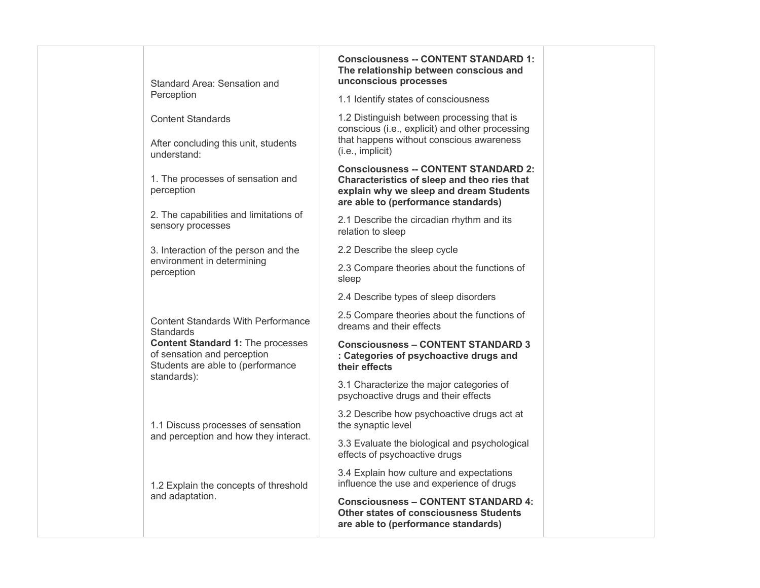|  | Standard Area: Sensation and                                                                                 | <b>Consciousness -- CONTENT STANDARD 1:</b><br>The relationship between conscious and<br>unconscious processes                                                               |
|--|--------------------------------------------------------------------------------------------------------------|------------------------------------------------------------------------------------------------------------------------------------------------------------------------------|
|  | Perception                                                                                                   | 1.1 Identify states of consciousness                                                                                                                                         |
|  | <b>Content Standards</b><br>After concluding this unit, students                                             | 1.2 Distinguish between processing that is<br>conscious (i.e., explicit) and other processing<br>that happens without conscious awareness                                    |
|  | understand:                                                                                                  | (i.e., implicit)                                                                                                                                                             |
|  | 1. The processes of sensation and<br>perception                                                              | <b>Consciousness -- CONTENT STANDARD 2:</b><br>Characteristics of sleep and theo ries that<br>explain why we sleep and dream Students<br>are able to (performance standards) |
|  | 2. The capabilities and limitations of<br>sensory processes                                                  | 2.1 Describe the circadian rhythm and its<br>relation to sleep                                                                                                               |
|  | 3. Interaction of the person and the                                                                         | 2.2 Describe the sleep cycle                                                                                                                                                 |
|  | environment in determining<br>perception                                                                     | 2.3 Compare theories about the functions of<br>sleep                                                                                                                         |
|  |                                                                                                              | 2.4 Describe types of sleep disorders                                                                                                                                        |
|  | <b>Content Standards With Performance</b><br><b>Standards</b>                                                | 2.5 Compare theories about the functions of<br>dreams and their effects                                                                                                      |
|  | <b>Content Standard 1: The processes</b><br>of sensation and perception<br>Students are able to (performance | <b>Consciousness - CONTENT STANDARD 3</b><br>: Categories of psychoactive drugs and<br>their effects                                                                         |
|  | standards):                                                                                                  | 3.1 Characterize the major categories of<br>psychoactive drugs and their effects                                                                                             |
|  | 1.1 Discuss processes of sensation                                                                           | 3.2 Describe how psychoactive drugs act at<br>the synaptic level                                                                                                             |
|  | and perception and how they interact.                                                                        | 3.3 Evaluate the biological and psychological<br>effects of psychoactive drugs                                                                                               |
|  | 1.2 Explain the concepts of threshold                                                                        | 3.4 Explain how culture and expectations<br>influence the use and experience of drugs                                                                                        |
|  | and adaptation.                                                                                              | <b>Consciousness - CONTENT STANDARD 4:</b><br><b>Other states of consciousness Students</b><br>are able to (performance standards)                                           |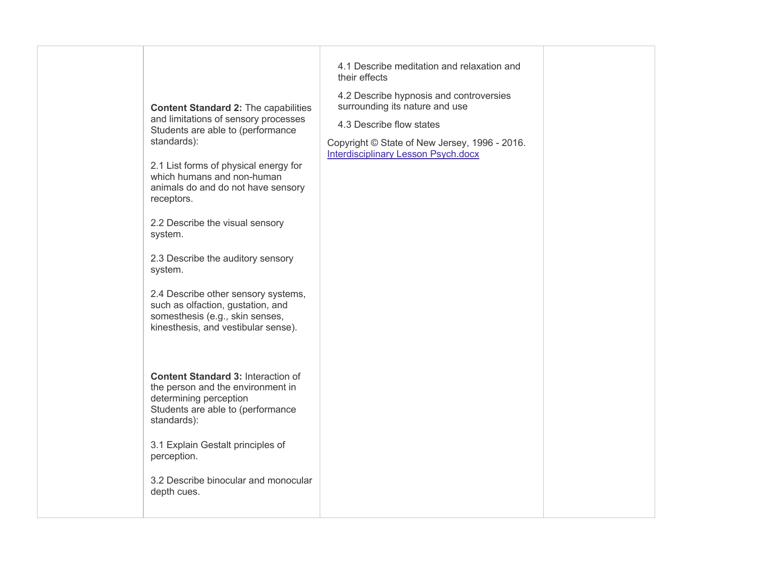| <b>Content Standard 2: The capabilities</b><br>and limitations of sensory processes<br>Students are able to (performance<br>standards):<br>2.1 List forms of physical energy for<br>which humans and non-human<br>animals do and do not have sensory<br>receptors.<br>2.2 Describe the visual sensory<br>system.<br>2.3 Describe the auditory sensory<br>system.<br>2.4 Describe other sensory systems,<br>such as olfaction, gustation, and<br>somesthesis (e.g., skin senses,<br>kinesthesis, and vestibular sense). | 4.1 Describe meditation and relaxation and<br>their effects<br>4.2 Describe hypnosis and controversies<br>surrounding its nature and use<br>4.3 Describe flow states<br>Copyright © State of New Jersey, 1996 - 2016.<br><b>Interdisciplinary Lesson Psych.docx</b> |  |
|------------------------------------------------------------------------------------------------------------------------------------------------------------------------------------------------------------------------------------------------------------------------------------------------------------------------------------------------------------------------------------------------------------------------------------------------------------------------------------------------------------------------|---------------------------------------------------------------------------------------------------------------------------------------------------------------------------------------------------------------------------------------------------------------------|--|
| <b>Content Standard 3: Interaction of</b><br>the person and the environment in<br>determining perception<br>Students are able to (performance<br>standards):                                                                                                                                                                                                                                                                                                                                                           |                                                                                                                                                                                                                                                                     |  |
| 3.1 Explain Gestalt principles of<br>perception.                                                                                                                                                                                                                                                                                                                                                                                                                                                                       |                                                                                                                                                                                                                                                                     |  |
| 3.2 Describe binocular and monocular<br>depth cues.                                                                                                                                                                                                                                                                                                                                                                                                                                                                    |                                                                                                                                                                                                                                                                     |  |
|                                                                                                                                                                                                                                                                                                                                                                                                                                                                                                                        |                                                                                                                                                                                                                                                                     |  |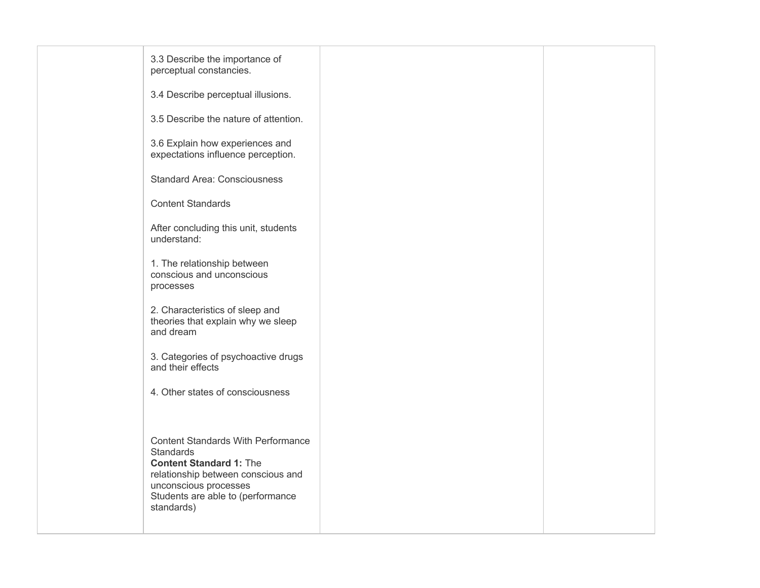| 3.3 Describe the importance of<br>perceptual constancies.                                                                                                                                                         |  |
|-------------------------------------------------------------------------------------------------------------------------------------------------------------------------------------------------------------------|--|
| 3.4 Describe perceptual illusions.                                                                                                                                                                                |  |
| 3.5 Describe the nature of attention.                                                                                                                                                                             |  |
| 3.6 Explain how experiences and<br>expectations influence perception.                                                                                                                                             |  |
| <b>Standard Area: Consciousness</b>                                                                                                                                                                               |  |
| <b>Content Standards</b>                                                                                                                                                                                          |  |
| After concluding this unit, students<br>understand:                                                                                                                                                               |  |
| 1. The relationship between<br>conscious and unconscious<br>processes                                                                                                                                             |  |
| 2. Characteristics of sleep and<br>theories that explain why we sleep<br>and dream                                                                                                                                |  |
| 3. Categories of psychoactive drugs<br>and their effects                                                                                                                                                          |  |
| 4. Other states of consciousness                                                                                                                                                                                  |  |
|                                                                                                                                                                                                                   |  |
| <b>Content Standards With Performance</b><br><b>Standards</b><br><b>Content Standard 1: The</b><br>relationship between conscious and<br>unconscious processes<br>Students are able to (performance<br>standards) |  |
|                                                                                                                                                                                                                   |  |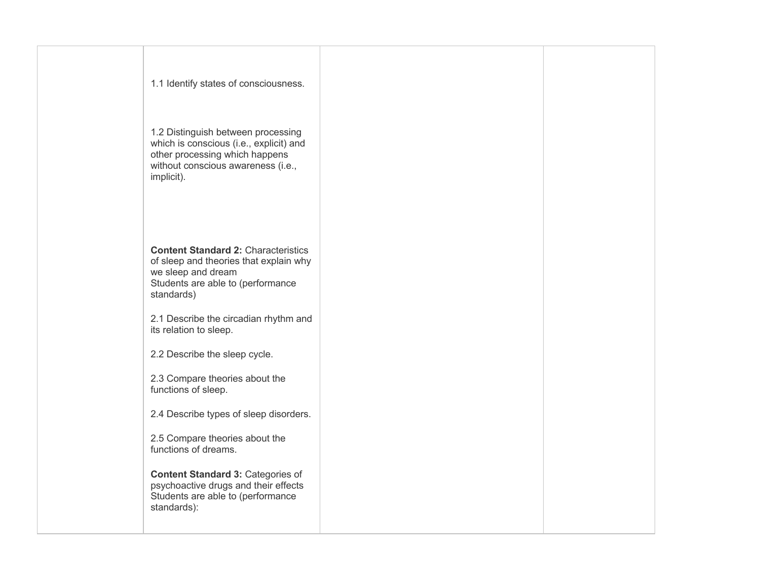| 1.1 Identify states of consciousness.                                                                                                                               |  |
|---------------------------------------------------------------------------------------------------------------------------------------------------------------------|--|
| 1.2 Distinguish between processing<br>which is conscious (i.e., explicit) and<br>other processing which happens<br>without conscious awareness (i.e.,<br>implicit). |  |
| <b>Content Standard 2: Characteristics</b><br>of sleep and theories that explain why<br>we sleep and dream<br>Students are able to (performance<br>standards)       |  |
| 2.1 Describe the circadian rhythm and<br>its relation to sleep.                                                                                                     |  |
| 2.2 Describe the sleep cycle.                                                                                                                                       |  |
| 2.3 Compare theories about the<br>functions of sleep.                                                                                                               |  |
| 2.4 Describe types of sleep disorders.                                                                                                                              |  |
| 2.5 Compare theories about the<br>functions of dreams.                                                                                                              |  |
| <b>Content Standard 3: Categories of</b><br>psychoactive drugs and their effects<br>Students are able to (performance<br>standards):                                |  |
|                                                                                                                                                                     |  |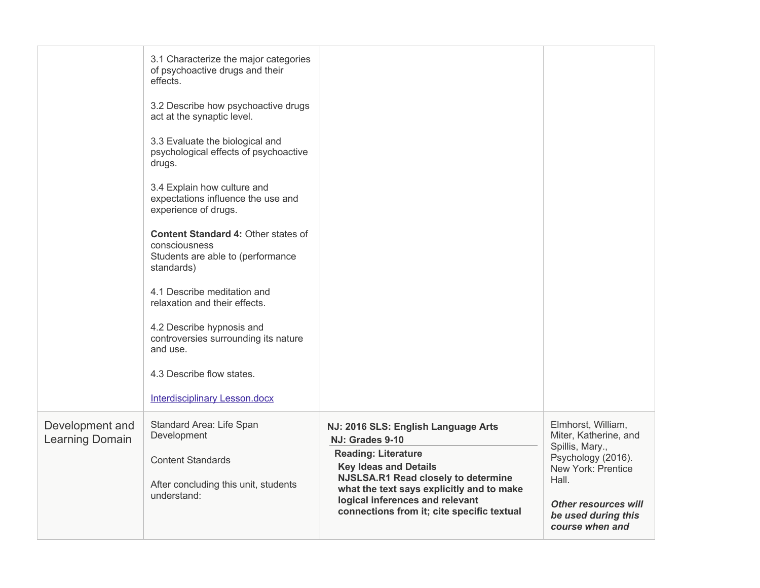|                                    | 3.1 Characterize the major categories<br>of psychoactive drugs and their<br>effects.<br>3.2 Describe how psychoactive drugs<br>act at the synaptic level.<br>3.3 Evaluate the biological and<br>psychological effects of psychoactive<br>drugs.<br>3.4 Explain how culture and<br>expectations influence the use and<br>experience of drugs.<br>Content Standard 4: Other states of<br>consciousness<br>Students are able to (performance<br>standards)<br>4.1 Describe meditation and<br>relaxation and their effects.<br>4.2 Describe hypnosis and<br>controversies surrounding its nature<br>and use.<br>4.3 Describe flow states.<br><b>Interdisciplinary Lesson.docx</b> |                                                                                                                                                                                                                                                                                           |                                                                                                                                                                                              |
|------------------------------------|-------------------------------------------------------------------------------------------------------------------------------------------------------------------------------------------------------------------------------------------------------------------------------------------------------------------------------------------------------------------------------------------------------------------------------------------------------------------------------------------------------------------------------------------------------------------------------------------------------------------------------------------------------------------------------|-------------------------------------------------------------------------------------------------------------------------------------------------------------------------------------------------------------------------------------------------------------------------------------------|----------------------------------------------------------------------------------------------------------------------------------------------------------------------------------------------|
| Development and<br>Learning Domain | Standard Area: Life Span<br>Development<br><b>Content Standards</b><br>After concluding this unit, students<br>understand:                                                                                                                                                                                                                                                                                                                                                                                                                                                                                                                                                    | NJ: 2016 SLS: English Language Arts<br>NJ: Grades 9-10<br><b>Reading: Literature</b><br><b>Key Ideas and Details</b><br>NJSLSA.R1 Read closely to determine<br>what the text says explicitly and to make<br>logical inferences and relevant<br>connections from it; cite specific textual | Elmhorst, William,<br>Miter, Katherine, and<br>Spillis, Mary.,<br>Psychology (2016).<br>New York: Prentice<br>Hall.<br><b>Other resources will</b><br>be used during this<br>course when and |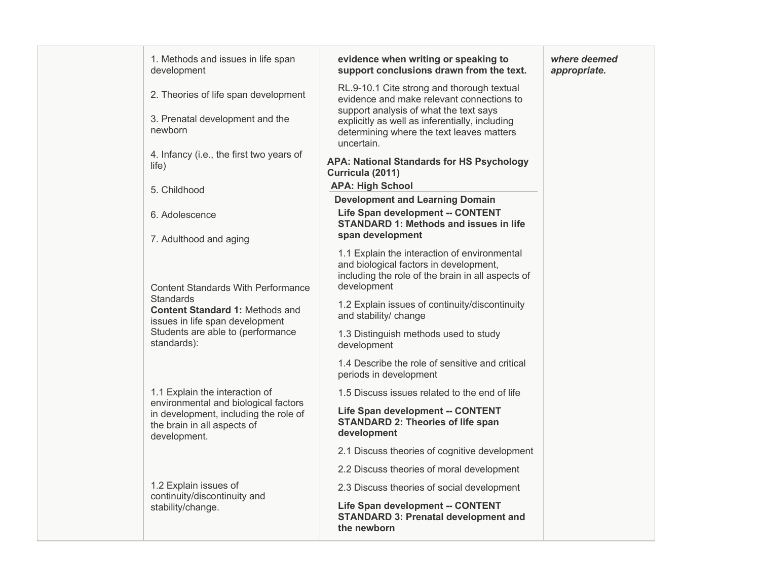| 1. Methods and issues in life span<br>development                                                                            | evidence when writing or speaking to<br>support conclusions drawn from the text.                                                                           | where deemed<br>appropriate. |
|------------------------------------------------------------------------------------------------------------------------------|------------------------------------------------------------------------------------------------------------------------------------------------------------|------------------------------|
| 2. Theories of life span development                                                                                         | RL.9-10.1 Cite strong and thorough textual<br>evidence and make relevant connections to                                                                    |                              |
| 3. Prenatal development and the<br>newborn                                                                                   | support analysis of what the text says<br>explicitly as well as inferentially, including<br>determining where the text leaves matters<br>uncertain.        |                              |
| 4. Infancy (i.e., the first two years of<br>life)                                                                            | <b>APA: National Standards for HS Psychology</b><br>Curricula (2011)                                                                                       |                              |
| 5. Childhood                                                                                                                 | <b>APA: High School</b>                                                                                                                                    |                              |
|                                                                                                                              | <b>Development and Learning Domain</b>                                                                                                                     |                              |
| 6. Adolescence                                                                                                               | Life Span development -- CONTENT<br><b>STANDARD 1: Methods and issues in life</b>                                                                          |                              |
| 7. Adulthood and aging                                                                                                       | span development                                                                                                                                           |                              |
| <b>Content Standards With Performance</b>                                                                                    | 1.1 Explain the interaction of environmental<br>and biological factors in development,<br>including the role of the brain in all aspects of<br>development |                              |
| <b>Standards</b><br><b>Content Standard 1: Methods and</b><br>issues in life span development                                | 1.2 Explain issues of continuity/discontinuity<br>and stability/ change                                                                                    |                              |
| Students are able to (performance<br>standards):                                                                             | 1.3 Distinguish methods used to study<br>development                                                                                                       |                              |
|                                                                                                                              | 1.4 Describe the role of sensitive and critical<br>periods in development                                                                                  |                              |
| 1.1 Explain the interaction of                                                                                               | 1.5 Discuss issues related to the end of life                                                                                                              |                              |
| environmental and biological factors<br>in development, including the role of<br>the brain in all aspects of<br>development. | <b>Life Span development -- CONTENT</b><br><b>STANDARD 2: Theories of life span</b><br>development                                                         |                              |
|                                                                                                                              | 2.1 Discuss theories of cognitive development                                                                                                              |                              |
|                                                                                                                              | 2.2 Discuss theories of moral development                                                                                                                  |                              |
| 1.2 Explain issues of                                                                                                        | 2.3 Discuss theories of social development                                                                                                                 |                              |
| continuity/discontinuity and<br>stability/change.                                                                            | <b>Life Span development -- CONTENT</b><br><b>STANDARD 3: Prenatal development and</b><br>the newborn                                                      |                              |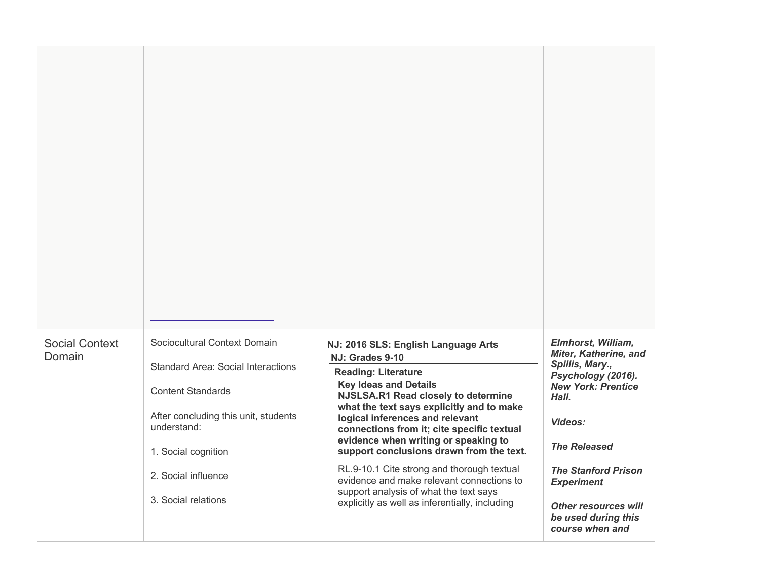| <b>Social Context</b><br>Domain | Sociocultural Context Domain<br><b>Standard Area: Social Interactions</b><br><b>Content Standards</b><br>After concluding this unit, students<br>understand:<br>1. Social cognition<br>2. Social influence<br>3. Social relations | NJ: 2016 SLS: English Language Arts<br>NJ: Grades 9-10<br><b>Reading: Literature</b><br><b>Key Ideas and Details</b><br>NJSLSA.R1 Read closely to determine<br>what the text says explicitly and to make<br>logical inferences and relevant<br>connections from it; cite specific textual<br>evidence when writing or speaking to<br>support conclusions drawn from the text.<br>RL.9-10.1 Cite strong and thorough textual<br>evidence and make relevant connections to<br>support analysis of what the text says<br>explicitly as well as inferentially, including | <b>Elmhorst, William,</b><br><b>Miter, Katherine, and</b><br>Spillis, Mary.,<br>Psychology (2016).<br><b>New York: Prentice</b><br>Hall.<br>Videos:<br><b>The Released</b><br><b>The Stanford Prison</b><br><b>Experiment</b><br><b>Other resources will</b><br>be used during this<br>course when and |
|---------------------------------|-----------------------------------------------------------------------------------------------------------------------------------------------------------------------------------------------------------------------------------|----------------------------------------------------------------------------------------------------------------------------------------------------------------------------------------------------------------------------------------------------------------------------------------------------------------------------------------------------------------------------------------------------------------------------------------------------------------------------------------------------------------------------------------------------------------------|--------------------------------------------------------------------------------------------------------------------------------------------------------------------------------------------------------------------------------------------------------------------------------------------------------|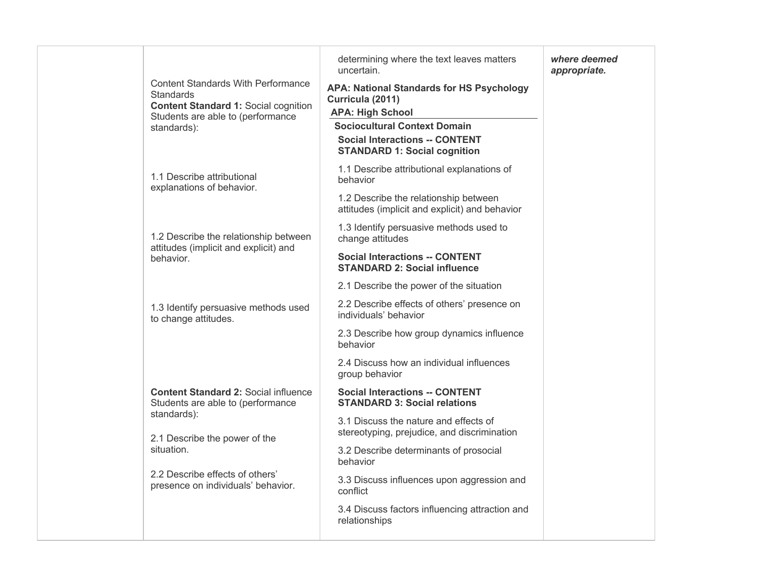| <b>Content Standards With Performance</b><br><b>Standards</b><br><b>Content Standard 1: Social cognition</b><br>Students are able to (performance<br>standards): | determining where the text leaves matters<br>uncertain.<br><b>APA: National Standards for HS Psychology</b><br>Curricula (2011)<br><b>APA: High School</b><br><b>Sociocultural Context Domain</b><br><b>Social Interactions -- CONTENT</b><br><b>STANDARD 1: Social cognition</b> | where deemed<br>appropriate. |
|------------------------------------------------------------------------------------------------------------------------------------------------------------------|-----------------------------------------------------------------------------------------------------------------------------------------------------------------------------------------------------------------------------------------------------------------------------------|------------------------------|
| 1.1 Describe attributional<br>explanations of behavior.                                                                                                          | 1.1 Describe attributional explanations of<br>behavior                                                                                                                                                                                                                            |                              |
|                                                                                                                                                                  | 1.2 Describe the relationship between<br>attitudes (implicit and explicit) and behavior                                                                                                                                                                                           |                              |
| 1.2 Describe the relationship between<br>attitudes (implicit and explicit) and                                                                                   | 1.3 Identify persuasive methods used to<br>change attitudes                                                                                                                                                                                                                       |                              |
| behavior.                                                                                                                                                        | <b>Social Interactions -- CONTENT</b><br><b>STANDARD 2: Social influence</b>                                                                                                                                                                                                      |                              |
|                                                                                                                                                                  | 2.1 Describe the power of the situation                                                                                                                                                                                                                                           |                              |
| 1.3 Identify persuasive methods used<br>to change attitudes.                                                                                                     | 2.2 Describe effects of others' presence on<br>individuals' behavior                                                                                                                                                                                                              |                              |
|                                                                                                                                                                  | 2.3 Describe how group dynamics influence<br>behavior                                                                                                                                                                                                                             |                              |
|                                                                                                                                                                  | 2.4 Discuss how an individual influences<br>group behavior                                                                                                                                                                                                                        |                              |
| <b>Content Standard 2: Social influence</b><br>Students are able to (performance                                                                                 | <b>Social Interactions -- CONTENT</b><br><b>STANDARD 3: Social relations</b>                                                                                                                                                                                                      |                              |
| standards):<br>2.1 Describe the power of the                                                                                                                     | 3.1 Discuss the nature and effects of<br>stereotyping, prejudice, and discrimination                                                                                                                                                                                              |                              |
| situation.                                                                                                                                                       | 3.2 Describe determinants of prosocial<br>behavior                                                                                                                                                                                                                                |                              |
| 2.2 Describe effects of others'<br>presence on individuals' behavior.                                                                                            | 3.3 Discuss influences upon aggression and<br>conflict                                                                                                                                                                                                                            |                              |
|                                                                                                                                                                  | 3.4 Discuss factors influencing attraction and<br>relationships                                                                                                                                                                                                                   |                              |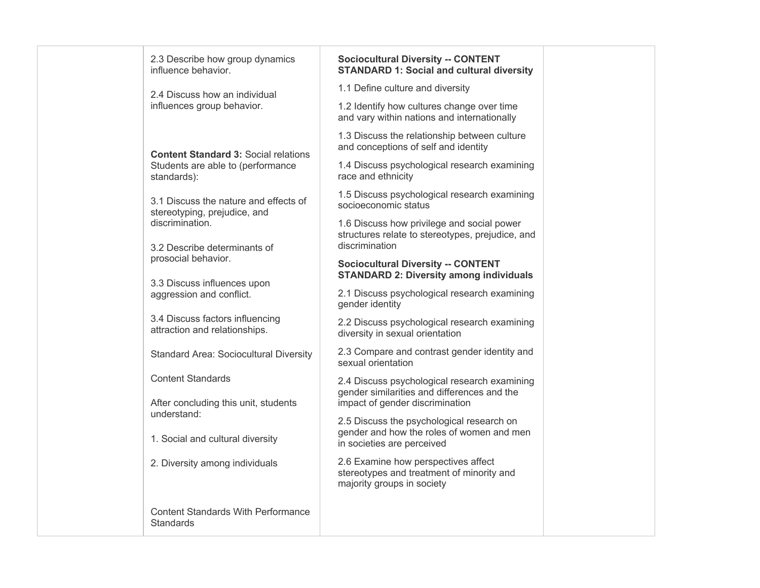| 2.3 Describe how group dynamics<br>influence behavior.                | <b>Sociocultural Diversity -- CONTENT</b><br><b>STANDARD 1: Social and cultural diversity</b>                        |
|-----------------------------------------------------------------------|----------------------------------------------------------------------------------------------------------------------|
| 2.4 Discuss how an individual                                         | 1.1 Define culture and diversity                                                                                     |
| influences group behavior.                                            | 1.2 Identify how cultures change over time<br>and vary within nations and internationally                            |
| <b>Content Standard 3: Social relations</b>                           | 1.3 Discuss the relationship between culture<br>and conceptions of self and identity                                 |
| Students are able to (performance<br>standards):                      | 1.4 Discuss psychological research examining<br>race and ethnicity                                                   |
| 3.1 Discuss the nature and effects of<br>stereotyping, prejudice, and | 1.5 Discuss psychological research examining<br>socioeconomic status                                                 |
| discrimination.                                                       | 1.6 Discuss how privilege and social power<br>structures relate to stereotypes, prejudice, and<br>discrimination     |
| 3.2 Describe determinants of<br>prosocial behavior.                   | <b>Sociocultural Diversity -- CONTENT</b><br><b>STANDARD 2: Diversity among individuals</b>                          |
| 3.3 Discuss influences upon<br>aggression and conflict.               | 2.1 Discuss psychological research examining<br>gender identity                                                      |
| 3.4 Discuss factors influencing<br>attraction and relationships.      | 2.2 Discuss psychological research examining<br>diversity in sexual orientation                                      |
| <b>Standard Area: Sociocultural Diversity</b>                         | 2.3 Compare and contrast gender identity and<br>sexual orientation                                                   |
| <b>Content Standards</b>                                              | 2.4 Discuss psychological research examining<br>gender similarities and differences and the                          |
| After concluding this unit, students<br>understand:                   | impact of gender discrimination                                                                                      |
| 1. Social and cultural diversity                                      | 2.5 Discuss the psychological research on<br>gender and how the roles of women and men<br>in societies are perceived |
| 2. Diversity among individuals                                        | 2.6 Examine how perspectives affect<br>stereotypes and treatment of minority and<br>majority groups in society       |
| <b>Content Standards With Performance</b><br>Standards                |                                                                                                                      |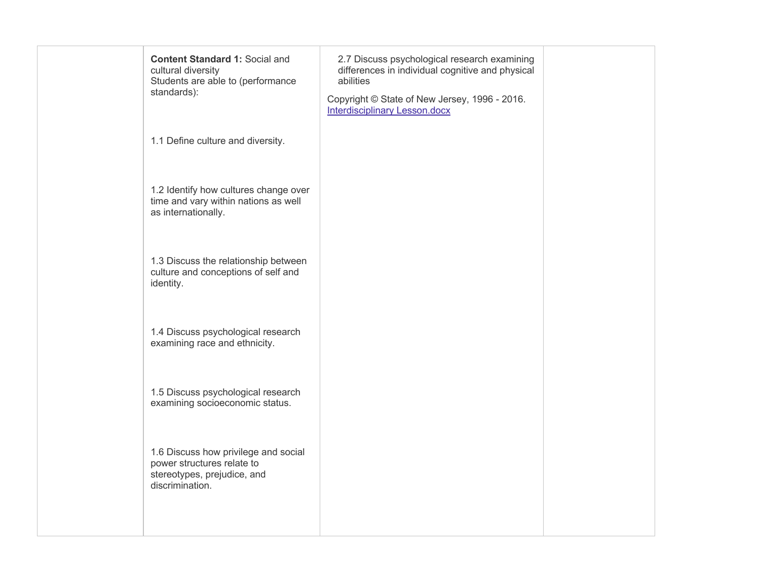| <b>Content Standard 1: Social and</b><br>cultural diversity<br>Students are able to (performance<br>standards):      | 2.7 Discuss psychological research examining<br>differences in individual cognitive and physical<br>abilities<br>Copyright © State of New Jersey, 1996 - 2016.<br><b>Interdisciplinary Lesson.docx</b> |  |
|----------------------------------------------------------------------------------------------------------------------|--------------------------------------------------------------------------------------------------------------------------------------------------------------------------------------------------------|--|
| 1.1 Define culture and diversity.                                                                                    |                                                                                                                                                                                                        |  |
| 1.2 Identify how cultures change over<br>time and vary within nations as well<br>as internationally.                 |                                                                                                                                                                                                        |  |
| 1.3 Discuss the relationship between<br>culture and conceptions of self and<br>identity.                             |                                                                                                                                                                                                        |  |
| 1.4 Discuss psychological research<br>examining race and ethnicity.                                                  |                                                                                                                                                                                                        |  |
| 1.5 Discuss psychological research<br>examining socioeconomic status.                                                |                                                                                                                                                                                                        |  |
| 1.6 Discuss how privilege and social<br>power structures relate to<br>stereotypes, prejudice, and<br>discrimination. |                                                                                                                                                                                                        |  |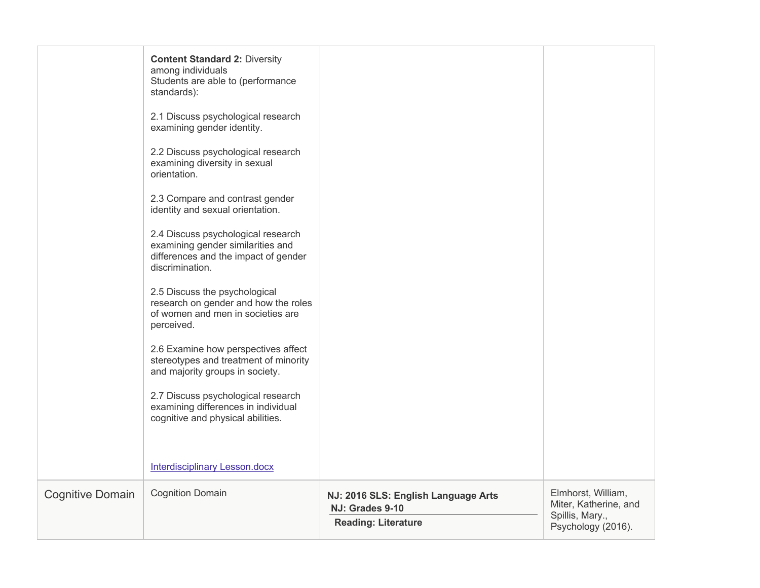|                         | <b>Content Standard 2: Diversity</b><br>among individuals<br>Students are able to (performance<br>standards):                      |                                                                                      |                                                                                      |
|-------------------------|------------------------------------------------------------------------------------------------------------------------------------|--------------------------------------------------------------------------------------|--------------------------------------------------------------------------------------|
|                         | 2.1 Discuss psychological research<br>examining gender identity.                                                                   |                                                                                      |                                                                                      |
|                         | 2.2 Discuss psychological research<br>examining diversity in sexual<br>orientation.                                                |                                                                                      |                                                                                      |
|                         | 2.3 Compare and contrast gender<br>identity and sexual orientation.                                                                |                                                                                      |                                                                                      |
|                         | 2.4 Discuss psychological research<br>examining gender similarities and<br>differences and the impact of gender<br>discrimination. |                                                                                      |                                                                                      |
|                         | 2.5 Discuss the psychological<br>research on gender and how the roles<br>of women and men in societies are<br>perceived.           |                                                                                      |                                                                                      |
|                         | 2.6 Examine how perspectives affect<br>stereotypes and treatment of minority<br>and majority groups in society.                    |                                                                                      |                                                                                      |
|                         | 2.7 Discuss psychological research<br>examining differences in individual<br>cognitive and physical abilities.                     |                                                                                      |                                                                                      |
|                         | <b>Interdisciplinary Lesson.docx</b>                                                                                               |                                                                                      |                                                                                      |
| <b>Cognitive Domain</b> | <b>Cognition Domain</b>                                                                                                            | NJ: 2016 SLS: English Language Arts<br>NJ: Grades 9-10<br><b>Reading: Literature</b> | Elmhorst, William,<br>Miter, Katherine, and<br>Spillis, Mary.,<br>Psychology (2016). |
|                         |                                                                                                                                    |                                                                                      |                                                                                      |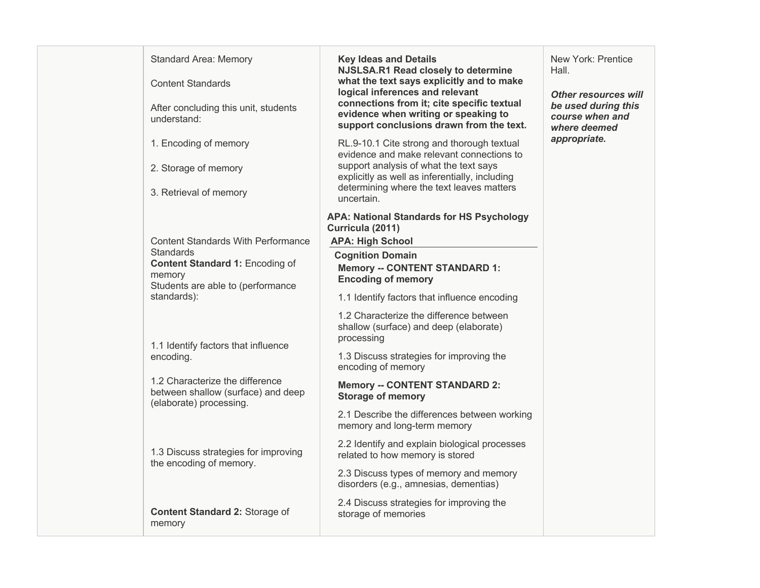| <b>Standard Area: Memory</b><br><b>Content Standards</b><br>After concluding this unit, students<br>understand:<br>1. Encoding of memory<br>2. Storage of memory<br>3. Retrieval of memory                                | <b>Key Ideas and Details</b><br>NJSLSA.R1 Read closely to determine<br>what the text says explicitly and to make<br>logical inferences and relevant<br>connections from it; cite specific textual<br>evidence when writing or speaking to<br>support conclusions drawn from the text.<br>RL.9-10.1 Cite strong and thorough textual<br>evidence and make relevant connections to<br>support analysis of what the text says<br>explicitly as well as inferentially, including<br>determining where the text leaves matters<br>uncertain. | New York: Prentice<br>Hall.<br><b>Other resources will</b><br>be used during this<br>course when and<br>where deemed<br>appropriate. |
|---------------------------------------------------------------------------------------------------------------------------------------------------------------------------------------------------------------------------|-----------------------------------------------------------------------------------------------------------------------------------------------------------------------------------------------------------------------------------------------------------------------------------------------------------------------------------------------------------------------------------------------------------------------------------------------------------------------------------------------------------------------------------------|--------------------------------------------------------------------------------------------------------------------------------------|
| <b>Content Standards With Performance</b><br><b>Standards</b><br><b>Content Standard 1: Encoding of</b><br>memory<br>Students are able to (performance<br>standards):<br>1.1 Identify factors that influence<br>encoding. | <b>APA: National Standards for HS Psychology</b><br>Curricula (2011)<br><b>APA: High School</b><br><b>Cognition Domain</b><br><b>Memory -- CONTENT STANDARD 1:</b><br><b>Encoding of memory</b><br>1.1 Identify factors that influence encoding<br>1.2 Characterize the difference between<br>shallow (surface) and deep (elaborate)<br>processing<br>1.3 Discuss strategies for improving the<br>encoding of memory                                                                                                                    |                                                                                                                                      |
| 1.2 Characterize the difference<br>between shallow (surface) and deep<br>(elaborate) processing.<br>1.3 Discuss strategies for improving<br>the encoding of memory.<br>Content Standard 2: Storage of<br>memory           | <b>Memory -- CONTENT STANDARD 2:</b><br><b>Storage of memory</b><br>2.1 Describe the differences between working<br>memory and long-term memory<br>2.2 Identify and explain biological processes<br>related to how memory is stored<br>2.3 Discuss types of memory and memory<br>disorders (e.g., amnesias, dementias)<br>2.4 Discuss strategies for improving the<br>storage of memories                                                                                                                                               |                                                                                                                                      |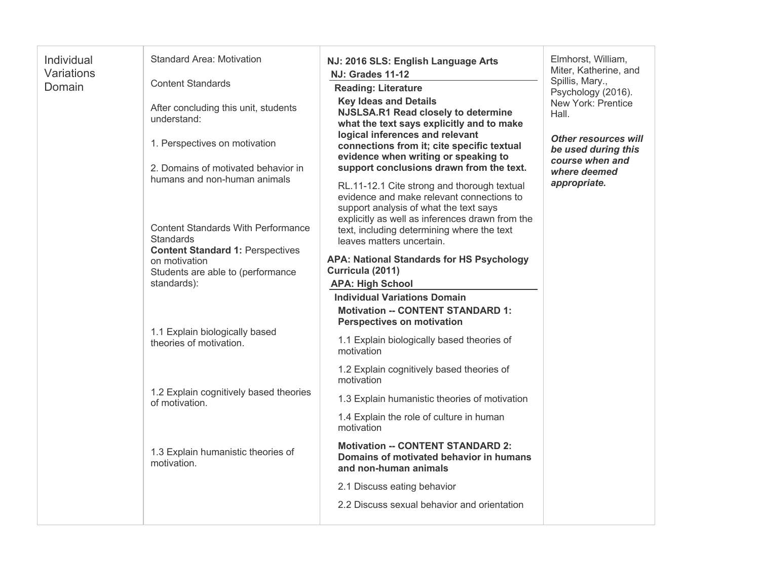| Individual<br>Variations<br>Domain | <b>Standard Area: Motivation</b><br><b>Content Standards</b><br>After concluding this unit, students<br>understand:<br>1. Perspectives on motivation<br>2. Domains of motivated behavior in<br>humans and non-human animals<br><b>Content Standards With Performance</b><br>Standards<br><b>Content Standard 1: Perspectives</b><br>on motivation<br>Students are able to (performance<br>standards): | NJ: 2016 SLS: English Language Arts<br><b>NJ: Grades 11-12</b><br><b>Reading: Literature</b><br><b>Key Ideas and Details</b><br>NJSLSA.R1 Read closely to determine<br>what the text says explicitly and to make<br>logical inferences and relevant<br>connections from it; cite specific textual<br>evidence when writing or speaking to<br>support conclusions drawn from the text.<br>RL.11-12.1 Cite strong and thorough textual<br>evidence and make relevant connections to<br>support analysis of what the text says<br>explicitly as well as inferences drawn from the<br>text, including determining where the text<br>leaves matters uncertain.<br><b>APA: National Standards for HS Psychology</b><br>Curricula (2011)<br><b>APA: High School</b><br><b>Individual Variations Domain</b> | Elmhorst, William,<br>Miter, Katherine, and<br>Spillis, Mary.,<br>Psychology (2016).<br>New York: Prentice<br>Hall.<br><b>Other resources will</b><br>be used during this<br>course when and<br>where deemed<br>appropriate. |
|------------------------------------|-------------------------------------------------------------------------------------------------------------------------------------------------------------------------------------------------------------------------------------------------------------------------------------------------------------------------------------------------------------------------------------------------------|-----------------------------------------------------------------------------------------------------------------------------------------------------------------------------------------------------------------------------------------------------------------------------------------------------------------------------------------------------------------------------------------------------------------------------------------------------------------------------------------------------------------------------------------------------------------------------------------------------------------------------------------------------------------------------------------------------------------------------------------------------------------------------------------------------|------------------------------------------------------------------------------------------------------------------------------------------------------------------------------------------------------------------------------|
|                                    | 1.1 Explain biologically based<br>theories of motivation.                                                                                                                                                                                                                                                                                                                                             | <b>Motivation -- CONTENT STANDARD 1:</b><br><b>Perspectives on motivation</b><br>1.1 Explain biologically based theories of<br>motivation                                                                                                                                                                                                                                                                                                                                                                                                                                                                                                                                                                                                                                                           |                                                                                                                                                                                                                              |
|                                    | 1.2 Explain cognitively based theories<br>of motivation.                                                                                                                                                                                                                                                                                                                                              | 1.2 Explain cognitively based theories of<br>motivation<br>1.3 Explain humanistic theories of motivation                                                                                                                                                                                                                                                                                                                                                                                                                                                                                                                                                                                                                                                                                            |                                                                                                                                                                                                                              |
|                                    |                                                                                                                                                                                                                                                                                                                                                                                                       | 1.4 Explain the role of culture in human<br>motivation                                                                                                                                                                                                                                                                                                                                                                                                                                                                                                                                                                                                                                                                                                                                              |                                                                                                                                                                                                                              |
|                                    | 1.3 Explain humanistic theories of<br>motivation.                                                                                                                                                                                                                                                                                                                                                     | <b>Motivation -- CONTENT STANDARD 2:</b><br>Domains of motivated behavior in humans<br>and non-human animals                                                                                                                                                                                                                                                                                                                                                                                                                                                                                                                                                                                                                                                                                        |                                                                                                                                                                                                                              |
|                                    |                                                                                                                                                                                                                                                                                                                                                                                                       | 2.1 Discuss eating behavior                                                                                                                                                                                                                                                                                                                                                                                                                                                                                                                                                                                                                                                                                                                                                                         |                                                                                                                                                                                                                              |
|                                    |                                                                                                                                                                                                                                                                                                                                                                                                       | 2.2 Discuss sexual behavior and orientation                                                                                                                                                                                                                                                                                                                                                                                                                                                                                                                                                                                                                                                                                                                                                         |                                                                                                                                                                                                                              |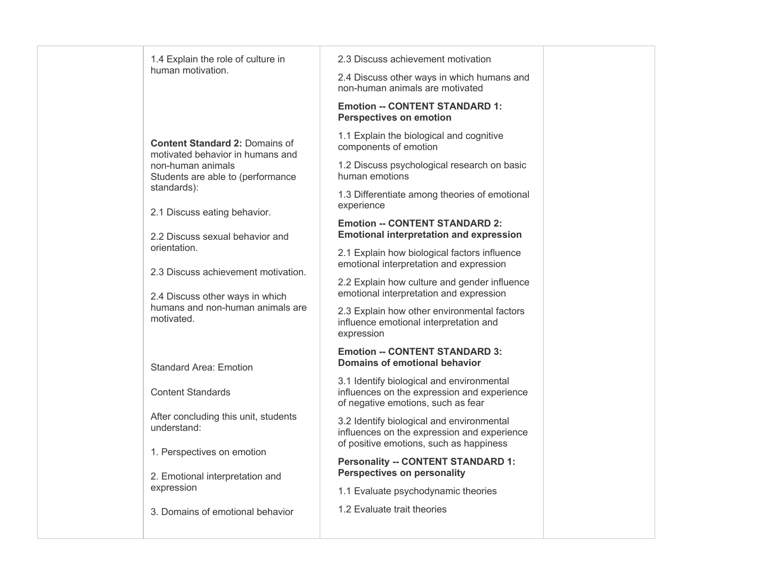| 1.4 Explain the role of culture in                                        | 2.3 Discuss achievement motivation                                                                                                  |  |
|---------------------------------------------------------------------------|-------------------------------------------------------------------------------------------------------------------------------------|--|
| human motivation.                                                         | 2.4 Discuss other ways in which humans and<br>non-human animals are motivated                                                       |  |
|                                                                           | <b>Emotion -- CONTENT STANDARD 1:</b><br><b>Perspectives on emotion</b>                                                             |  |
| <b>Content Standard 2: Domains of</b><br>motivated behavior in humans and | 1.1 Explain the biological and cognitive<br>components of emotion                                                                   |  |
| non-human animals<br>Students are able to (performance                    | 1.2 Discuss psychological research on basic<br>human emotions                                                                       |  |
| standards):<br>2.1 Discuss eating behavior.                               | 1.3 Differentiate among theories of emotional<br>experience                                                                         |  |
| 2.2 Discuss sexual behavior and                                           | <b>Emotion -- CONTENT STANDARD 2:</b><br><b>Emotional interpretation and expression</b>                                             |  |
| orientation.<br>2.3 Discuss achievement motivation.                       | 2.1 Explain how biological factors influence<br>emotional interpretation and expression                                             |  |
| 2.4 Discuss other ways in which                                           | 2.2 Explain how culture and gender influence<br>emotional interpretation and expression                                             |  |
| humans and non-human animals are<br>motivated.                            | 2.3 Explain how other environmental factors<br>influence emotional interpretation and<br>expression                                 |  |
| <b>Standard Area: Emotion</b>                                             | <b>Emotion -- CONTENT STANDARD 3:</b><br>Domains of emotional behavior                                                              |  |
| <b>Content Standards</b>                                                  | 3.1 Identify biological and environmental<br>influences on the expression and experience<br>of negative emotions, such as fear      |  |
| After concluding this unit, students<br>understand:                       | 3.2 Identify biological and environmental<br>influences on the expression and experience<br>of positive emotions, such as happiness |  |
| 1. Perspectives on emotion                                                | <b>Personality -- CONTENT STANDARD 1:</b><br><b>Perspectives on personality</b>                                                     |  |
| 2. Emotional interpretation and<br>expression                             | 1.1 Evaluate psychodynamic theories                                                                                                 |  |
| 3. Domains of emotional behavior                                          | 1.2 Evaluate trait theories                                                                                                         |  |
|                                                                           |                                                                                                                                     |  |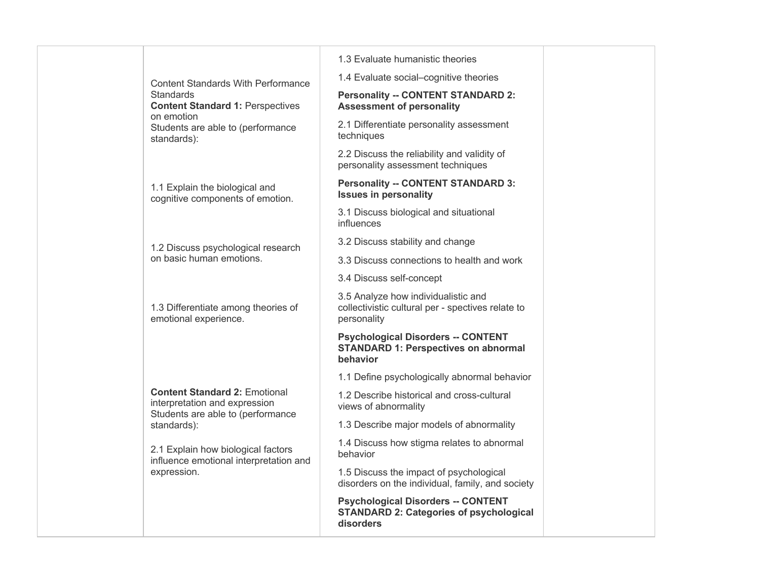Content Standards With Performance  **Content Standard 1:** Perspectives Students are able to (performance **Standards** on emotion standards):

1.1 Explain the biological and cognitive components of emotion.

1.2 Discuss psychological research on basic human emotions.

1.3 Differentiate among theories of emotional experience.

 **Content Standard 2:** Emotional interpretation and expression Students are able to (performance standards):

 2.1 Explain how biological factors influence emotional interpretation and expression.

1.3 Evaluate humanistic theories

1.4 Evaluate social–cognitive theories

## **Assessment of personality Personality -- CONTENT STANDARD 2:**

2.1 Differentiate personality assessment techniques

2.2 Discuss the reliability and validity of personality assessment techniques

## **Personality -- CONTENT STANDARD 3: Issues in personality**

3.1 Discuss biological and situational influences

3.2 Discuss stability and change

3.3 Discuss connections to health and work

3.4 Discuss self-concept

 collectivistic cultural per - spectives relate to 3.5 Analyze how individualistic and personality

## **Psychological Disorders -- CONTENT STANDARD 1: Perspectives on abnormal behavior**

1.1 Define psychologically abnormal behavior

1.2 Describe historical and cross-cultural views of abnormality

1.3 Describe major models of abnormality

1.4 Discuss how stigma relates to abnormal behavior

 1.5 Discuss the impact of psychological disorders on the individual, family, and society

 **Psychological Disorders -- CONTENT STANDARD 2: Categories of psychological disorders**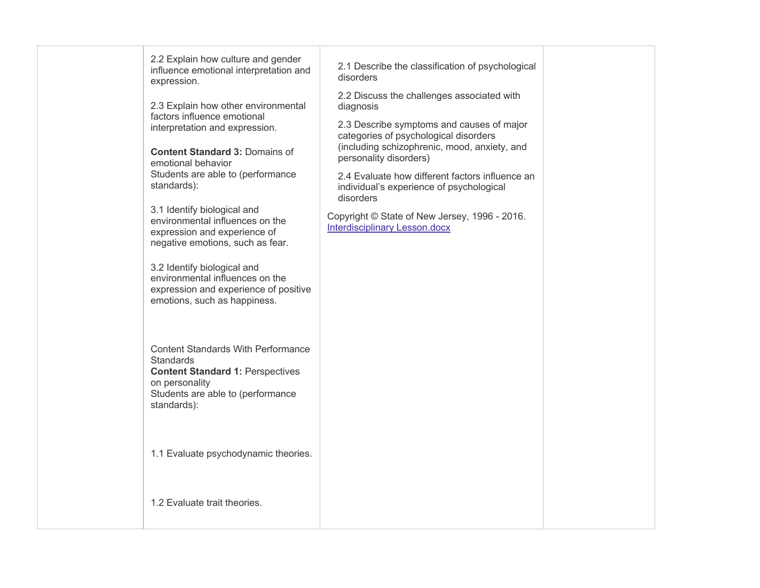influence emotional interpretation and 2.2 Explain how culture and gender expression.

 2.3 Explain how other environmental interpretation and expression. factors influence emotional

 **Content Standard 3:** Domains of Students are able to (performance emotional behavior standards):

3.1 Identify biological and environmental influences on the expression and experience of negative emotions, such as fear.

3.2 Identify biological and environmental influences on the expression and experience of positive emotions, such as happiness.

 Content Standards With Performance  **Content Standard 1:** Perspectives Students are able to (performance **Standards** on personality standards):

1.1 Evaluate psychodynamic theories.

1.2 Evaluate trait theories.

2.1 Describe the classification of psychological disorders

2.2 Discuss the challenges associated with diagnosis

 2.3 Describe symptoms and causes of major categories of psychological disorders (including schizophrenic, mood, anxiety, and personality disorders)

 2.4 Evaluate how different factors influence an individual's experience of psychological disorders

 Copyright © State of New Jersey, 1996 - 2016. Interdisciplinary Lesson.docx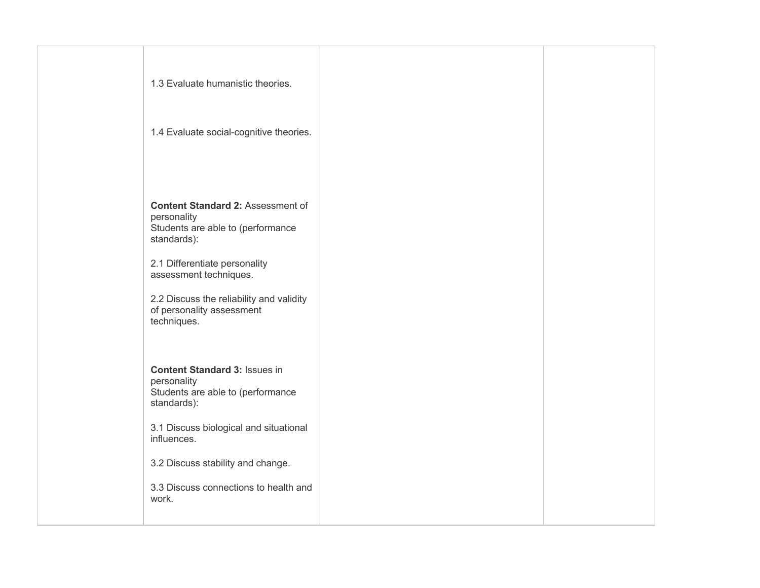| 1.3 Evaluate humanistic theories.                                                                           |  |
|-------------------------------------------------------------------------------------------------------------|--|
| 1.4 Evaluate social-cognitive theories.                                                                     |  |
| <b>Content Standard 2: Assessment of</b><br>personality<br>Students are able to (performance<br>standards): |  |
| 2.1 Differentiate personality<br>assessment techniques.                                                     |  |
| 2.2 Discuss the reliability and validity<br>of personality assessment<br>techniques.                        |  |
| <b>Content Standard 3: Issues in</b><br>personality<br>Students are able to (performance<br>standards):     |  |
| 3.1 Discuss biological and situational<br>influences.                                                       |  |
| 3.2 Discuss stability and change.                                                                           |  |
| 3.3 Discuss connections to health and<br>work.                                                              |  |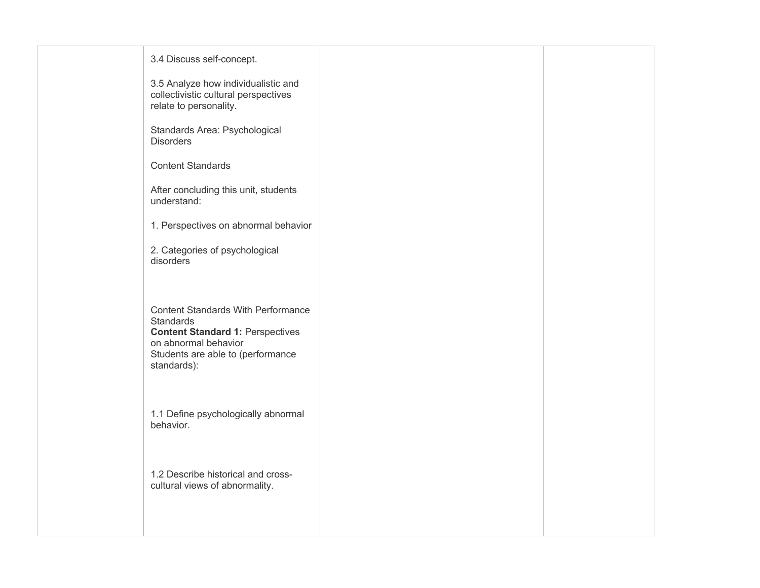| 3.4 Discuss self-concept.                                                                                                                                                     |  |
|-------------------------------------------------------------------------------------------------------------------------------------------------------------------------------|--|
| 3.5 Analyze how individualistic and<br>collectivistic cultural perspectives<br>relate to personality.                                                                         |  |
| Standards Area: Psychological<br><b>Disorders</b>                                                                                                                             |  |
| <b>Content Standards</b>                                                                                                                                                      |  |
| After concluding this unit, students<br>understand:                                                                                                                           |  |
| 1. Perspectives on abnormal behavior                                                                                                                                          |  |
| 2. Categories of psychological<br>disorders                                                                                                                                   |  |
| <b>Content Standards With Performance</b><br>Standards<br><b>Content Standard 1: Perspectives</b><br>on abnormal behavior<br>Students are able to (performance<br>standards): |  |
| 1.1 Define psychologically abnormal<br>behavior.                                                                                                                              |  |
| 1.2 Describe historical and cross-<br>cultural views of abnormality.                                                                                                          |  |
|                                                                                                                                                                               |  |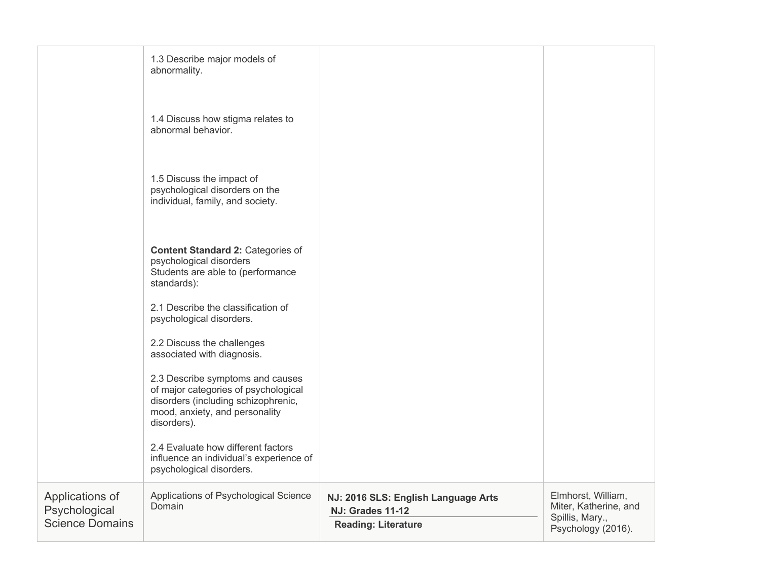|                                                            | 1.3 Describe major models of<br>abnormality.                                                                                                                     |                                                                                              |                                                                                      |
|------------------------------------------------------------|------------------------------------------------------------------------------------------------------------------------------------------------------------------|----------------------------------------------------------------------------------------------|--------------------------------------------------------------------------------------|
|                                                            | 1.4 Discuss how stigma relates to<br>abnormal behavior.                                                                                                          |                                                                                              |                                                                                      |
|                                                            | 1.5 Discuss the impact of<br>psychological disorders on the<br>individual, family, and society.                                                                  |                                                                                              |                                                                                      |
|                                                            | <b>Content Standard 2: Categories of</b><br>psychological disorders<br>Students are able to (performance<br>standards):                                          |                                                                                              |                                                                                      |
|                                                            | 2.1 Describe the classification of<br>psychological disorders.                                                                                                   |                                                                                              |                                                                                      |
|                                                            | 2.2 Discuss the challenges<br>associated with diagnosis.                                                                                                         |                                                                                              |                                                                                      |
|                                                            | 2.3 Describe symptoms and causes<br>of major categories of psychological<br>disorders (including schizophrenic,<br>mood, anxiety, and personality<br>disorders). |                                                                                              |                                                                                      |
|                                                            | 2.4 Evaluate how different factors<br>influence an individual's experience of<br>psychological disorders.                                                        |                                                                                              |                                                                                      |
| Applications of<br>Psychological<br><b>Science Domains</b> | Applications of Psychological Science<br>Domain                                                                                                                  | NJ: 2016 SLS: English Language Arts<br><b>NJ: Grades 11-12</b><br><b>Reading: Literature</b> | Elmhorst, William,<br>Miter, Katherine, and<br>Spillis, Mary.,<br>Psychology (2016). |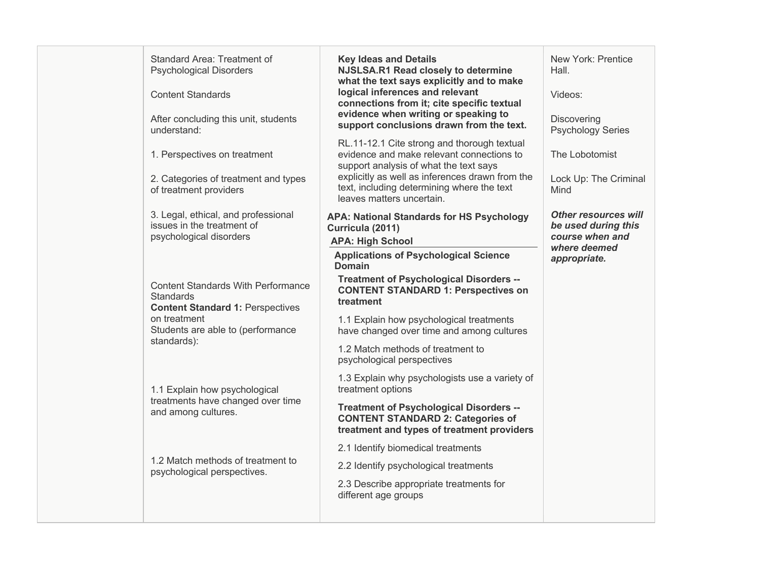| Standard Area: Treatment of<br><b>Psychological Disorders</b><br><b>Content Standards</b><br>After concluding this unit, students<br>understand:<br>1. Perspectives on treatment<br>2. Categories of treatment and types<br>of treatment providers | <b>Key Ideas and Details</b><br>NJSLSA.R1 Read closely to determine<br>what the text says explicitly and to make<br>logical inferences and relevant<br>connections from it; cite specific textual<br>evidence when writing or speaking to<br>support conclusions drawn from the text.<br>RL.11-12.1 Cite strong and thorough textual<br>evidence and make relevant connections to<br>support analysis of what the text says<br>explicitly as well as inferences drawn from the<br>text, including determining where the text | New York: Prentice<br>Hall.<br>Videos:<br>Discovering<br><b>Psychology Series</b><br>The Lobotomist<br>Lock Up: The Criminal<br>Mind |
|----------------------------------------------------------------------------------------------------------------------------------------------------------------------------------------------------------------------------------------------------|------------------------------------------------------------------------------------------------------------------------------------------------------------------------------------------------------------------------------------------------------------------------------------------------------------------------------------------------------------------------------------------------------------------------------------------------------------------------------------------------------------------------------|--------------------------------------------------------------------------------------------------------------------------------------|
| 3. Legal, ethical, and professional<br>issues in the treatment of<br>psychological disorders                                                                                                                                                       | leaves matters uncertain.<br><b>APA: National Standards for HS Psychology</b><br>Curricula (2011)<br><b>APA: High School</b>                                                                                                                                                                                                                                                                                                                                                                                                 | <b>Other resources will</b><br>be used during this<br>course when and<br>where deemed                                                |
| <b>Content Standards With Performance</b><br><b>Standards</b><br><b>Content Standard 1: Perspectives</b><br>on treatment<br>Students are able to (performance<br>standards):                                                                       | <b>Applications of Psychological Science</b><br><b>Domain</b><br><b>Treatment of Psychological Disorders --</b><br><b>CONTENT STANDARD 1: Perspectives on</b><br>treatment<br>1.1 Explain how psychological treatments<br>have changed over time and among cultures<br>1.2 Match methods of treatment to<br>psychological perspectives                                                                                                                                                                                       | appropriate.                                                                                                                         |
| 1.1 Explain how psychological<br>treatments have changed over time<br>and among cultures.                                                                                                                                                          | 1.3 Explain why psychologists use a variety of<br>treatment options<br><b>Treatment of Psychological Disorders --</b><br><b>CONTENT STANDARD 2: Categories of</b><br>treatment and types of treatment providers                                                                                                                                                                                                                                                                                                              |                                                                                                                                      |
| 1.2 Match methods of treatment to<br>psychological perspectives.                                                                                                                                                                                   | 2.1 Identify biomedical treatments<br>2.2 Identify psychological treatments<br>2.3 Describe appropriate treatments for<br>different age groups                                                                                                                                                                                                                                                                                                                                                                               |                                                                                                                                      |